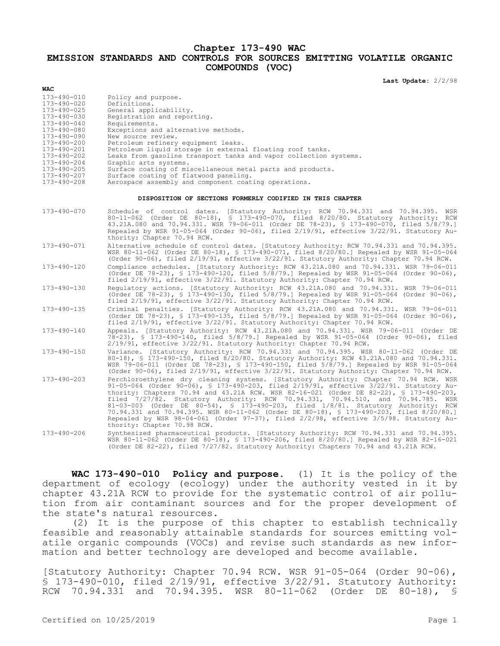## **Chapter 173-490 WAC EMISSION STANDARDS AND CONTROLS FOR SOURCES EMITTING VOLATILE ORGANIC COMPOUNDS (VOC)**

**Last Update:** 2/2/98

| <b>WAC</b>                                                                                                                                                                                                                                   |                                                                                                                                                                                                                                                                                                                                                                                                                                                                                                                                                                                                                                                                        |  |  |  |  |
|----------------------------------------------------------------------------------------------------------------------------------------------------------------------------------------------------------------------------------------------|------------------------------------------------------------------------------------------------------------------------------------------------------------------------------------------------------------------------------------------------------------------------------------------------------------------------------------------------------------------------------------------------------------------------------------------------------------------------------------------------------------------------------------------------------------------------------------------------------------------------------------------------------------------------|--|--|--|--|
| 173-490-010<br>173-490-020<br>$173 - 490 - 025$<br>173-490-030<br>$173 - 490 - 040$<br>173-490-080<br>$173 - 490 - 090$<br>173-490-200<br>173-490-201<br>173-490-202<br>$173 - 490 - 204$<br>173-490-205<br>173-490-207<br>$173 - 490 - 208$ | Policy and purpose.<br>Definitions.<br>General applicability.<br>Registration and reporting.<br>Requirements.<br>Exceptions and alternative methods.<br>New source review.<br>Petroleum refinery equipment leaks.<br>Petroleum liquid storage in external floating roof tanks.<br>Leaks from gasoline transport tanks and vapor collection systems.<br>Graphic arts systems.<br>Surface coating of miscellaneous metal parts and products.<br>Surface coating of flatwood paneling.<br>Aerospace assembly and component coating operations.                                                                                                                            |  |  |  |  |
| DISPOSITION OF SECTIONS FORMERLY CODIFIED IN THIS CHAPTER                                                                                                                                                                                    |                                                                                                                                                                                                                                                                                                                                                                                                                                                                                                                                                                                                                                                                        |  |  |  |  |
| 173-490-070                                                                                                                                                                                                                                  | Schedule of control dates. [Statutory Authority: RCW 70.94.331 and 70.94.395. WSR<br>80-11-062 (Order DE 80-18), § 173-490-070, filed 8/20/80. Statutory Authority: RCW<br>43.21A.080 and 70.94.331. WSR 79-06-011 (Order DE 78-23), § 173-490-070, filed 5/8/79.]<br>Repealed by WSR 91-05-064 (Order 90-06), filed 2/19/91, effective 3/22/91. Statutory Au-<br>thority: Chapter 70.94 RCW.                                                                                                                                                                                                                                                                          |  |  |  |  |
| 173-490-071                                                                                                                                                                                                                                  | Alternative schedule of control dates. [Statutory Authority: RCW 70.94.331 and 70.94.395.<br>WSR 80-11-062 (Order DE 80-18), § 173-490-071, filed 8/20/80.] Repealed by WSR 91-05-064<br>(Order 90-06), filed 2/19/91, effective 3/22/91. Statutory Authority: Chapter 70.94 RCW.                                                                                                                                                                                                                                                                                                                                                                                      |  |  |  |  |
| 173-490-120                                                                                                                                                                                                                                  | Compliance schedules. [Statutory Authority: RCW 43.21A.080 and 70.94.331. WSR 79-06-011<br>(Order DE 78-23), § 173-490-120, filed 5/8/79.] Repealed by WSR 91-05-064 (Order 90-06),<br>filed 2/19/91, effective 3/22/91. Statutory Authority: Chapter 70.94 RCW.                                                                                                                                                                                                                                                                                                                                                                                                       |  |  |  |  |
| $173 - 490 - 130$                                                                                                                                                                                                                            | Requlatory actions. [Statutory Authority: RCW 43.21A.080 and 70.94.331. WSR 79-06-011<br>(Order DE 78-23), § 173-490-130, filed 5/8/79.] Repealed by WSR 91-05-064 (Order 90-06),<br>filed 2/19/91, effective 3/22/91. Statutory Authority: Chapter 70.94 RCW.                                                                                                                                                                                                                                                                                                                                                                                                         |  |  |  |  |
| $173 - 490 - 135$                                                                                                                                                                                                                            | Criminal penalties. [Statutory Authority: RCW 43.21A.080 and 70.94.331. WSR 79-06-011<br>(Order DE 78-23), § 173-490-135, filed 5/8/79.] Repealed by WSR 91-05-064 (Order 90-06),<br>filed 2/19/91, effective 3/22/91. Statutory Authority: Chapter 70.94 RCW.                                                                                                                                                                                                                                                                                                                                                                                                         |  |  |  |  |
| $173 - 490 - 140$                                                                                                                                                                                                                            | Appeals. [Statutory Authority: RCW 43.21A.080 and 70.94.331. WSR 79-06-011 (Order DE<br>78-23), § 173-490-140, filed 5/8/79.] Repealed by WSR 91-05-064 (Order 90-06), filed<br>2/19/91, effective 3/22/91. Statutory Authority: Chapter 70.94 RCW.                                                                                                                                                                                                                                                                                                                                                                                                                    |  |  |  |  |
| 173-490-150                                                                                                                                                                                                                                  | Variance. [Statutory Authority: RCW 70.94.331 and 70.94.395. WSR 80-11-062 (Order DE<br>80-18), § 173-490-150, filed 8/20/80. Statutory Authority: RCW 43.21A.080 and 70.94.331.<br>WSR 79-06-011 (Order DE 78-23), § 173-490-150, filed 5/8/79.] Repealed by WSR 91-05-064<br>(Order 90-06), filed 2/19/91, effective 3/22/91. Statutory Authority: Chapter 70.94 RCW.                                                                                                                                                                                                                                                                                                |  |  |  |  |
| $173 - 490 - 203$                                                                                                                                                                                                                            | Perchloroethylene dry cleaning systems. [Statutory Authority: Chapter 70.94 RCW. WSR<br>91-05-064 (Order 90-06), § 173-490-203, filed 2/19/91, effective 3/22/91. Statutory Au-<br>thority: Chapters 70.94 and 43.21A RCW. WSR 82-16-021 (Order DE 82-22), § 173-490-203,<br>filed 7/27/82. Statutory Authority: RCW 70.94.331, 70.94.510, and 70.94.785. WSR<br>81-03-003 (Order DE 80-54), § 173-490-203, filed 1/8/81. Statutory Authority: RCW<br>70.94.331 and 70.94.395. WSR 80-11-062 (Order DE 80-18), § 173-490-203, filed 8/20/80.]<br>Repealed by WSR 98-04-061 (Order 97-37), filed 2/2/98, effective 3/5/98. Statutory Au-<br>thority: Chapter 70.98 RCW. |  |  |  |  |
| 173-490-206                                                                                                                                                                                                                                  | Synthesized pharmaceutical products. [Statutory Authority: RCW 70.94.331 and 70.94.395.<br>WSR 80-11-062 (Order DE 80-18), § 173-490-206, filed 8/20/80.] Repealed by WSR 82-16-021<br>(Order DE 82-22), filed 7/27/82. Statutory Authority: Chapters 70.94 and 43.21A RCW.                                                                                                                                                                                                                                                                                                                                                                                            |  |  |  |  |

**WAC 173-490-010 Policy and purpose.** (1) It is the policy of the department of ecology (ecology) under the authority vested in it by chapter 43.21A RCW to provide for the systematic control of air pollution from air contaminant sources and for the proper development of the state's natural resources.

(2) It is the purpose of this chapter to establish technically feasible and reasonably attainable standards for sources emitting volatile organic compounds (VOCs) and revise such standards as new information and better technology are developed and become available.

[Statutory Authority: Chapter 70.94 RCW. WSR 91-05-064 (Order 90-06), § 173-490-010, filed 2/19/91, effective 3/22/91. Statutory Authority: RCW 70.94.331 and 70.94.395. WSR 80-11-062 (Order DE 80-18), §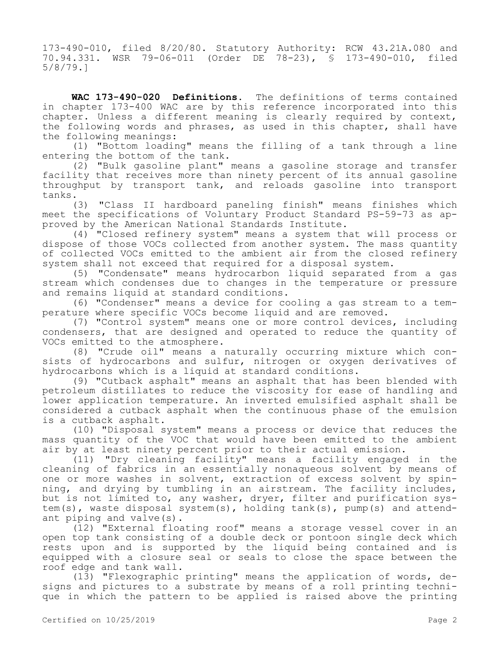173-490-010, filed 8/20/80. Statutory Authority: RCW 43.21A.080 and 70.94.331. WSR 79-06-011 (Order DE 78-23), § 173-490-010, filed 5/8/79.]

**WAC 173-490-020 Definitions.** The definitions of terms contained in chapter 173-400 WAC are by this reference incorporated into this chapter. Unless a different meaning is clearly required by context, the following words and phrases, as used in this chapter, shall have the following meanings:

(1) "Bottom loading" means the filling of a tank through a line entering the bottom of the tank.

(2) "Bulk gasoline plant" means a gasoline storage and transfer facility that receives more than ninety percent of its annual gasoline throughput by transport tank, and reloads gasoline into transport tanks.

(3) "Class II hardboard paneling finish" means finishes which meet the specifications of Voluntary Product Standard PS-59-73 as approved by the American National Standards Institute.

(4) "Closed refinery system" means a system that will process or dispose of those VOCs collected from another system. The mass quantity of collected VOCs emitted to the ambient air from the closed refinery system shall not exceed that required for a disposal system.

(5) "Condensate" means hydrocarbon liquid separated from a gas stream which condenses due to changes in the temperature or pressure and remains liquid at standard conditions.

(6) "Condenser" means a device for cooling a gas stream to a temperature where specific VOCs become liquid and are removed.

(7) "Control system" means one or more control devices, including condensers, that are designed and operated to reduce the quantity of VOCs emitted to the atmosphere.

(8) "Crude oil" means a naturally occurring mixture which consists of hydrocarbons and sulfur, nitrogen or oxygen derivatives of hydrocarbons which is a liquid at standard conditions.

(9) "Cutback asphalt" means an asphalt that has been blended with petroleum distillates to reduce the viscosity for ease of handling and lower application temperature. An inverted emulsified asphalt shall be considered a cutback asphalt when the continuous phase of the emulsion is a cutback asphalt.

(10) "Disposal system" means a process or device that reduces the mass quantity of the VOC that would have been emitted to the ambient air by at least ninety percent prior to their actual emission.

(11) "Dry cleaning facility" means a facility engaged in the cleaning of fabrics in an essentially nonaqueous solvent by means of one or more washes in solvent, extraction of excess solvent by spinning, and drying by tumbling in an airstream. The facility includes, but is not limited to, any washer, dryer, filter and purification system(s), waste disposal system(s), holding tank(s), pump(s) and attendant piping and valve(s).

(12) "External floating roof" means a storage vessel cover in an open top tank consisting of a double deck or pontoon single deck which rests upon and is supported by the liquid being contained and is equipped with a closure seal or seals to close the space between the roof edge and tank wall.

(13) "Flexographic printing" means the application of words, designs and pictures to a substrate by means of a roll printing technique in which the pattern to be applied is raised above the printing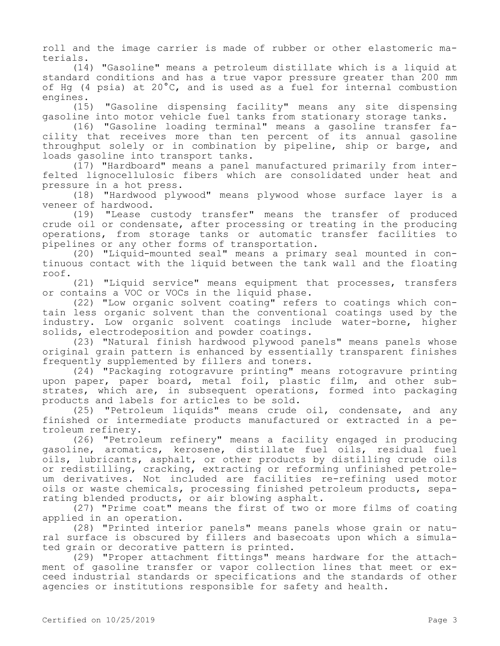roll and the image carrier is made of rubber or other elastomeric materials.

(14) "Gasoline" means a petroleum distillate which is a liquid at standard conditions and has a true vapor pressure greater than 200 mm of Hg (4 psia) at 20°C, and is used as a fuel for internal combustion engines.

(15) "Gasoline dispensing facility" means any site dispensing gasoline into motor vehicle fuel tanks from stationary storage tanks.

(16) "Gasoline loading terminal" means a gasoline transfer facility that receives more than ten percent of its annual gasoline throughput solely or in combination by pipeline, ship or barge, and loads gasoline into transport tanks.

(17) "Hardboard" means a panel manufactured primarily from interfelted lignocellulosic fibers which are consolidated under heat and pressure in a hot press.

(18) "Hardwood plywood" means plywood whose surface layer is a veneer of hardwood.

(19) "Lease custody transfer" means the transfer of produced crude oil or condensate, after processing or treating in the producing operations, from storage tanks or automatic transfer facilities to pipelines or any other forms of transportation.

(20) "Liquid-mounted seal" means a primary seal mounted in continuous contact with the liquid between the tank wall and the floating roof.

(21) "Liquid service" means equipment that processes, transfers or contains a VOC or VOCs in the liquid phase.

(22) "Low organic solvent coating" refers to coatings which contain less organic solvent than the conventional coatings used by the industry. Low organic solvent coatings include water-borne, higher solids, electrodeposition and powder coatings.

(23) "Natural finish hardwood plywood panels" means panels whose original grain pattern is enhanced by essentially transparent finishes frequently supplemented by fillers and toners.

(24) "Packaging rotogravure printing" means rotogravure printing upon paper, paper board, metal foil, plastic film, and other substrates, which are, in subsequent operations, formed into packaging products and labels for articles to be sold.

(25) "Petroleum liquids" means crude oil, condensate, and any finished or intermediate products manufactured or extracted in a petroleum refinery.

(26) "Petroleum refinery" means a facility engaged in producing gasoline, aromatics, kerosene, distillate fuel oils, residual fuel oils, lubricants, asphalt, or other products by distilling crude oils or redistilling, cracking, extracting or reforming unfinished petroleum derivatives. Not included are facilities re-refining used motor oils or waste chemicals, processing finished petroleum products, separating blended products, or air blowing asphalt.

(27) "Prime coat" means the first of two or more films of coating applied in an operation.

(28) "Printed interior panels" means panels whose grain or natural surface is obscured by fillers and basecoats upon which a simulated grain or decorative pattern is printed.

(29) "Proper attachment fittings" means hardware for the attachment of gasoline transfer or vapor collection lines that meet or exceed industrial standards or specifications and the standards of other agencies or institutions responsible for safety and health.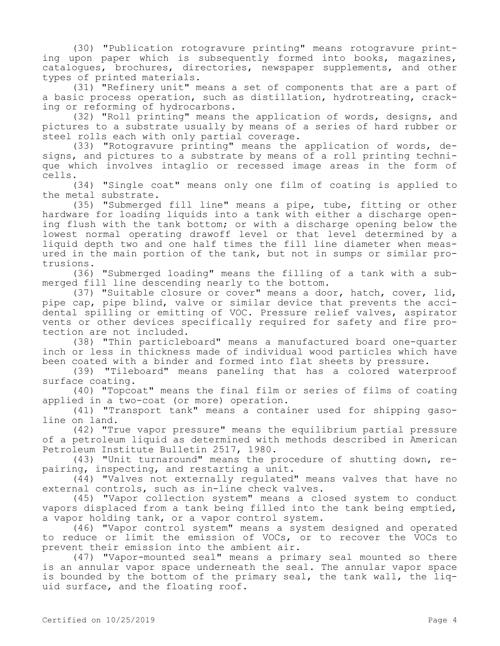(30) "Publication rotogravure printing" means rotogravure printing upon paper which is subsequently formed into books, magazines, catalogues, brochures, directories, newspaper supplements, and other types of printed materials.

(31) "Refinery unit" means a set of components that are a part of a basic process operation, such as distillation, hydrotreating, cracking or reforming of hydrocarbons.

(32) "Roll printing" means the application of words, designs, and pictures to a substrate usually by means of a series of hard rubber or steel rolls each with only partial coverage.

(33) "Rotogravure printing" means the application of words, designs, and pictures to a substrate by means of a roll printing technique which involves intaglio or recessed image areas in the form of cells.

(34) "Single coat" means only one film of coating is applied to the metal substrate.

(35) "Submerged fill line" means a pipe, tube, fitting or other hardware for loading liquids into a tank with either a discharge opening flush with the tank bottom; or with a discharge opening below the lowest normal operating drawoff level or that level determined by a liquid depth two and one half times the fill line diameter when measured in the main portion of the tank, but not in sumps or similar protrusions.

(36) "Submerged loading" means the filling of a tank with a submerged fill line descending nearly to the bottom.

(37) "Suitable closure or cover" means a door, hatch, cover, lid, pipe cap, pipe blind, valve or similar device that prevents the accidental spilling or emitting of VOC. Pressure relief valves, aspirator vents or other devices specifically required for safety and fire protection are not included.

(38) "Thin particleboard" means a manufactured board one-quarter inch or less in thickness made of individual wood particles which have been coated with a binder and formed into flat sheets by pressure.

(39) "Tileboard" means paneling that has a colored waterproof surface coating.

(40) "Topcoat" means the final film or series of films of coating applied in a two-coat (or more) operation.

(41) "Transport tank" means a container used for shipping gasoline on land.

(42) "True vapor pressure" means the equilibrium partial pressure of a petroleum liquid as determined with methods described in American Petroleum Institute Bulletin 2517, 1980.

(43) "Unit turnaround" means the procedure of shutting down, repairing, inspecting, and restarting a unit.

(44) "Valves not externally regulated" means valves that have no external controls, such as in-line check valves.

(45) "Vapor collection system" means a closed system to conduct vapors displaced from a tank being filled into the tank being emptied, a vapor holding tank, or a vapor control system.

(46) "Vapor control system" means a system designed and operated to reduce or limit the emission of VOCs, or to recover the VOCs to prevent their emission into the ambient air.

(47) "Vapor-mounted seal" means a primary seal mounted so there is an annular vapor space underneath the seal. The annular vapor space is bounded by the bottom of the primary seal, the tank wall, the liquid surface, and the floating roof.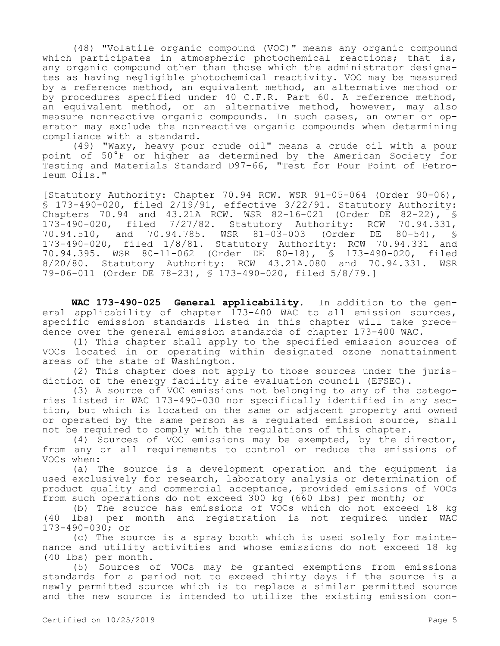(48) "Volatile organic compound (VOC)" means any organic compound which participates in atmospheric photochemical reactions; that is, any organic compound other than those which the administrator designates as having negligible photochemical reactivity. VOC may be measured by a reference method, an equivalent method, an alternative method or by procedures specified under 40 C.F.R. Part 60. A reference method, an equivalent method, or an alternative method, however, may also measure nonreactive organic compounds. In such cases, an owner or operator may exclude the nonreactive organic compounds when determining compliance with a standard.

(49) "Waxy, heavy pour crude oil" means a crude oil with a pour point of 50°F or higher as determined by the American Society for Testing and Materials Standard D97-66, "Test for Pour Point of Petroleum Oils."

[Statutory Authority: Chapter 70.94 RCW. WSR 91-05-064 (Order 90-06), § 173-490-020, filed 2/19/91, effective 3/22/91. Statutory Authority: Chapters 70.94 and 43.21A RCW. WSR 82-16-021 (Order DE 82-22), §<br>173-490-020, filed 7/27/82. Statutory Authority: RCW 70.94.331, 173-490-020, filed 7/27/82. Statutory Authority: RCW 70.94.33<br>70.94.510, and 70.94.785. WSR 81-03-003 (Order DE 80-54), 70.94.510, and 70.94.785. WSR 81-03-003 (Order DE 80-54), § 173-490-020, filed 1/8/81. Statutory Authority: RCW 70.94.331 and 70.94.395. WSR 80-11-062 (Order DE 80-18), § 173-490-020, filed 8/20/80. Statutory Authority: RCW 43.21A.080 and 70.94.331. WSR 79-06-011 (Order DE 78-23), § 173-490-020, filed 5/8/79.]

**WAC 173-490-025 General applicability.** In addition to the general applicability of chapter 173-400 WAC to all emission sources, specific emission standards listed in this chapter will take precedence over the general emission standards of chapter 173-400 WAC.

(1) This chapter shall apply to the specified emission sources of VOCs located in or operating within designated ozone nonattainment areas of the state of Washington.

(2) This chapter does not apply to those sources under the jurisdiction of the energy facility site evaluation council (EFSEC).

(3) A source of VOC emissions not belonging to any of the categories listed in WAC 173-490-030 nor specifically identified in any section, but which is located on the same or adjacent property and owned or operated by the same person as a regulated emission source, shall not be required to comply with the regulations of this chapter.

(4) Sources of VOC emissions may be exempted, by the director, from any or all requirements to control or reduce the emissions of VOCs when:

(a) The source is a development operation and the equipment is used exclusively for research, laboratory analysis or determination of product quality and commercial acceptance, provided emissions of VOCs from such operations do not exceed 300 kg (660 lbs) per month; or

(b) The source has emissions of VOCs which do not exceed 18 kg (40 lbs) per month and registration is not required under WAC 173-490-030; or

(c) The source is a spray booth which is used solely for maintenance and utility activities and whose emissions do not exceed 18 kg (40 lbs) per month.

(5) Sources of VOCs may be granted exemptions from emissions standards for a period not to exceed thirty days if the source is a newly permitted source which is to replace a similar permitted source and the new source is intended to utilize the existing emission con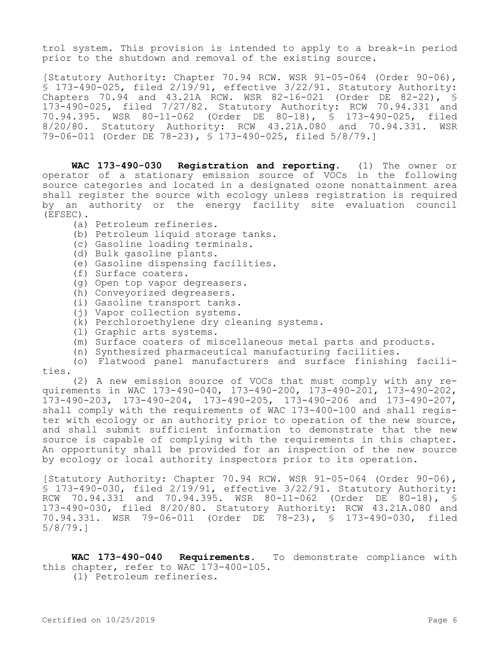trol system. This provision is intended to apply to a break-in period prior to the shutdown and removal of the existing source.

[Statutory Authority: Chapter 70.94 RCW. WSR 91-05-064 (Order 90-06), § 173-490-025, filed 2/19/91, effective 3/22/91. Statutory Authority: Chapters 70.94 and 43.21A RCW. WSR 82-16-021 (Order DE 82-22), § 173-490-025, filed 7/27/82. Statutory Authority: RCW 70.94.331 and 70.94.395. WSR 80-11-062 (Order DE 80-18), § 173-490-025, filed 8/20/80. Statutory Authority: RCW 43.21A.080 and 70.94.331. WSR 79-06-011 (Order DE 78-23), § 173-490-025, filed 5/8/79.]

**WAC 173-490-030 Registration and reporting.** (1) The owner or operator of a stationary emission source of VOCs in the following source categories and located in a designated ozone nonattainment area shall register the source with ecology unless registration is required by an authority or the energy facility site evaluation council (EFSEC).

- (a) Petroleum refineries.
- (b) Petroleum liquid storage tanks.
- (c) Gasoline loading terminals.
- (d) Bulk gasoline plants.
- (e) Gasoline dispensing facilities.
- (f) Surface coaters.
- (g) Open top vapor degreasers.
- (h) Conveyorized degreasers.
- (i) Gasoline transport tanks.
- (j) Vapor collection systems.
- (k) Perchloroethylene dry cleaning systems.
- (l) Graphic arts systems.
- (m) Surface coaters of miscellaneous metal parts and products.
- (n) Synthesized pharmaceutical manufacturing facilities.

(o) Flatwood panel manufacturers and surface finishing facilities.

(2) A new emission source of VOCs that must comply with any requirements in WAC 173-490-040, 173-490-200, 173-490-201, 173-490-202, 173-490-203, 173-490-204, 173-490-205, 173-490-206 and 173-490-207, shall comply with the requirements of WAC 173-400-100 and shall register with ecology or an authority prior to operation of the new source, and shall submit sufficient information to demonstrate that the new source is capable of complying with the requirements in this chapter. An opportunity shall be provided for an inspection of the new source by ecology or local authority inspectors prior to its operation.

[Statutory Authority: Chapter 70.94 RCW. WSR 91-05-064 (Order 90-06), § 173-490-030, filed 2/19/91, effective 3/22/91. Statutory Authority: RCW 70.94.331 and 70.94.395. WSR 80-11-062 (Order DE 80-18), § 173-490-030, filed 8/20/80. Statutory Authority: RCW 43.21A.080 and 70.94.331. WSR 79-06-011 (Order DE 78-23), § 173-490-030, filed 5/8/79.]

**WAC 173-490-040 Requirements.** To demonstrate compliance with this chapter, refer to WAC 173-400-105.

(1) Petroleum refineries.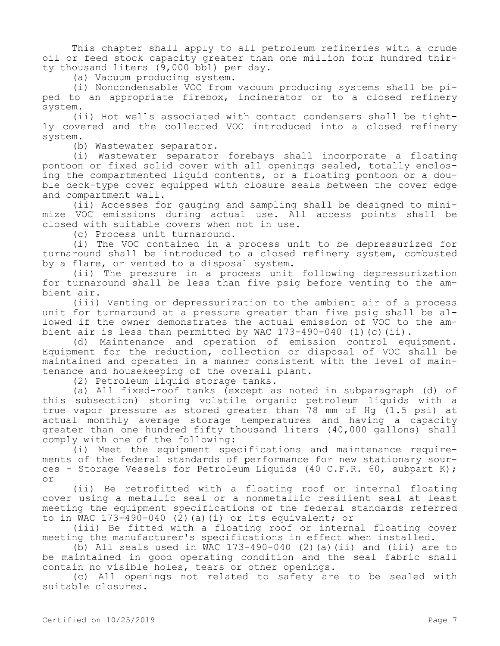This chapter shall apply to all petroleum refineries with a crude oil or feed stock capacity greater than one million four hundred thirty thousand liters (9,000 bbl) per day.

(a) Vacuum producing system.

(i) Noncondensable VOC from vacuum producing systems shall be piped to an appropriate firebox, incinerator or to a closed refinery system.

(ii) Hot wells associated with contact condensers shall be tightly covered and the collected VOC introduced into a closed refinery system.

(b) Wastewater separator.

(i) Wastewater separator forebays shall incorporate a floating pontoon or fixed solid cover with all openings sealed, totally enclosing the compartmented liquid contents, or a floating pontoon or a double deck-type cover equipped with closure seals between the cover edge and compartment wall.

(ii) Accesses for gauging and sampling shall be designed to minimize VOC emissions during actual use. All access points shall be closed with suitable covers when not in use.

(c) Process unit turnaround.

(i) The VOC contained in a process unit to be depressurized for turnaround shall be introduced to a closed refinery system, combusted by a flare, or vented to a disposal system.

(ii) The pressure in a process unit following depressurization for turnaround shall be less than five psig before venting to the ambient air.

(iii) Venting or depressurization to the ambient air of a process unit for turnaround at a pressure greater than five psig shall be allowed if the owner demonstrates the actual emission of VOC to the ambient air is less than permitted by WAC 173-490-040 (1)(c)(ii).

(d) Maintenance and operation of emission control equipment. Equipment for the reduction, collection or disposal of VOC shall be maintained and operated in a manner consistent with the level of maintenance and housekeeping of the overall plant.

(2) Petroleum liquid storage tanks.

(a) All fixed-roof tanks (except as noted in subparagraph (d) of this subsection) storing volatile organic petroleum liquids with a true vapor pressure as stored greater than 78 mm of Hg (1.5 psi) at actual monthly average storage temperatures and having a capacity greater than one hundred fifty thousand liters (40,000 gallons) shall comply with one of the following:

(i) Meet the equipment specifications and maintenance requirements of the federal standards of performance for new stationary sources - Storage Vessels for Petroleum Liquids (40 C.F.R. 60, subpart K); or

(ii) Be retrofitted with a floating roof or internal floating cover using a metallic seal or a nonmetallic resilient seal at least meeting the equipment specifications of the federal standards referred to in WAC  $173-490-040$  (2)(a)(i) or its equivalent; or

(iii) Be fitted with a floating roof or internal floating cover meeting the manufacturer's specifications in effect when installed.

(b) All seals used in WAC  $173-490-040$  (2) (a)(ii) and (iii) are to be maintained in good operating condition and the seal fabric shall contain no visible holes, tears or other openings.

(c) All openings not related to safety are to be sealed with suitable closures.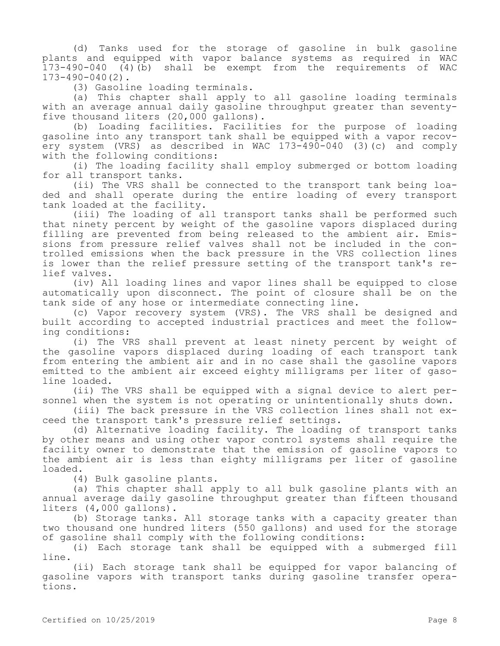(d) Tanks used for the storage of gasoline in bulk gasoline plants and equipped with vapor balance systems as required in WAC  $173-490-040$  (4)(b) shall be exempt from the requirements of 173-490-040(2).

(3) Gasoline loading terminals.

(a) This chapter shall apply to all gasoline loading terminals with an average annual daily gasoline throughput greater than seventyfive thousand liters (20,000 gallons).

(b) Loading facilities. Facilities for the purpose of loading gasoline into any transport tank shall be equipped with a vapor recovery system (VRS) as described in WAC 173-490-040 (3)(c) and comply with the following conditions:

(i) The loading facility shall employ submerged or bottom loading for all transport tanks.

(ii) The VRS shall be connected to the transport tank being loaded and shall operate during the entire loading of every transport tank loaded at the facility.

(iii) The loading of all transport tanks shall be performed such that ninety percent by weight of the gasoline vapors displaced during filling are prevented from being released to the ambient air. Emissions from pressure relief valves shall not be included in the controlled emissions when the back pressure in the VRS collection lines is lower than the relief pressure setting of the transport tank's relief valves.

(iv) All loading lines and vapor lines shall be equipped to close automatically upon disconnect. The point of closure shall be on the tank side of any hose or intermediate connecting line.

(c) Vapor recovery system (VRS). The VRS shall be designed and built according to accepted industrial practices and meet the following conditions:

(i) The VRS shall prevent at least ninety percent by weight of the gasoline vapors displaced during loading of each transport tank from entering the ambient air and in no case shall the gasoline vapors emitted to the ambient air exceed eighty milligrams per liter of gasoline loaded.

(ii) The VRS shall be equipped with a signal device to alert personnel when the system is not operating or unintentionally shuts down.

(iii) The back pressure in the VRS collection lines shall not exceed the transport tank's pressure relief settings.

(d) Alternative loading facility. The loading of transport tanks by other means and using other vapor control systems shall require the facility owner to demonstrate that the emission of gasoline vapors to the ambient air is less than eighty milligrams per liter of gasoline loaded.

(4) Bulk gasoline plants.

(a) This chapter shall apply to all bulk gasoline plants with an annual average daily gasoline throughput greater than fifteen thousand liters (4,000 gallons).

(b) Storage tanks. All storage tanks with a capacity greater than two thousand one hundred liters (550 gallons) and used for the storage of gasoline shall comply with the following conditions:

(i) Each storage tank shall be equipped with a submerged fill line.

(ii) Each storage tank shall be equipped for vapor balancing of gasoline vapors with transport tanks during gasoline transfer operations.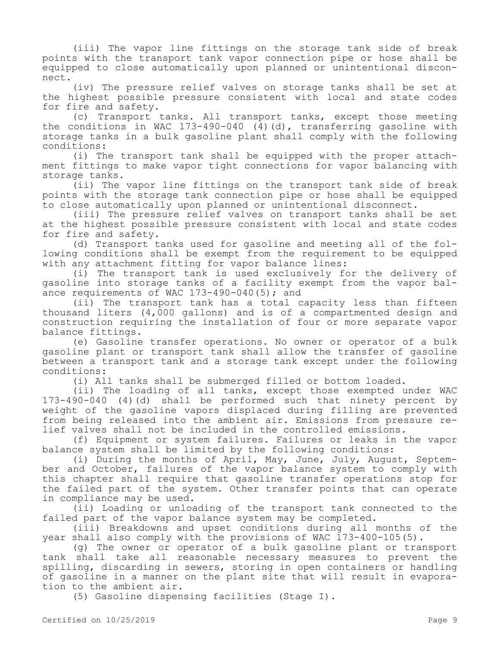(iii) The vapor line fittings on the storage tank side of break points with the transport tank vapor connection pipe or hose shall be equipped to close automatically upon planned or unintentional disconnect.

(iv) The pressure relief valves on storage tanks shall be set at the highest possible pressure consistent with local and state codes for fire and safety.

(c) Transport tanks. All transport tanks, except those meeting the conditions in WAC 173-490-040 (4)(d), transferring gasoline with storage tanks in a bulk gasoline plant shall comply with the following conditions:

(i) The transport tank shall be equipped with the proper attachment fittings to make vapor tight connections for vapor balancing with storage tanks.

(ii) The vapor line fittings on the transport tank side of break points with the storage tank connection pipe or hose shall be equipped to close automatically upon planned or unintentional disconnect.

(iii) The pressure relief valves on transport tanks shall be set at the highest possible pressure consistent with local and state codes for fire and safety.

(d) Transport tanks used for gasoline and meeting all of the following conditions shall be exempt from the requirement to be equipped with any attachment fitting for vapor balance lines:

(i) The transport tank is used exclusively for the delivery of gasoline into storage tanks of a facility exempt from the vapor balance requirements of WAC  $173-490-040(5)$ ; and

(ii) The transport tank has a total capacity less than fifteen thousand liters (4,000 gallons) and is of a compartmented design and construction requiring the installation of four or more separate vapor balance fittings.

(e) Gasoline transfer operations. No owner or operator of a bulk gasoline plant or transport tank shall allow the transfer of gasoline between a transport tank and a storage tank except under the following conditions:

(i) All tanks shall be submerged filled or bottom loaded.

(ii) The loading of all tanks, except those exempted under WAC 173-490-040 (4)(d) shall be performed such that ninety percent by weight of the gasoline vapors displaced during filling are prevented from being released into the ambient air. Emissions from pressure relief valves shall not be included in the controlled emissions.

(f) Equipment or system failures. Failures or leaks in the vapor balance system shall be limited by the following conditions:

(i) During the months of April, May, June, July, August, September and October, failures of the vapor balance system to comply with this chapter shall require that gasoline transfer operations stop for the failed part of the system. Other transfer points that can operate in compliance may be used.

(ii) Loading or unloading of the transport tank connected to the failed part of the vapor balance system may be completed.

(iii) Breakdowns and upset conditions during all months of the year shall also comply with the provisions of WAC 173-400-105(5).

(g) The owner or operator of a bulk gasoline plant or transport tank shall take all reasonable necessary measures to prevent the spilling, discarding in sewers, storing in open containers or handling of gasoline in a manner on the plant site that will result in evaporation to the ambient air.

(5) Gasoline dispensing facilities (Stage I).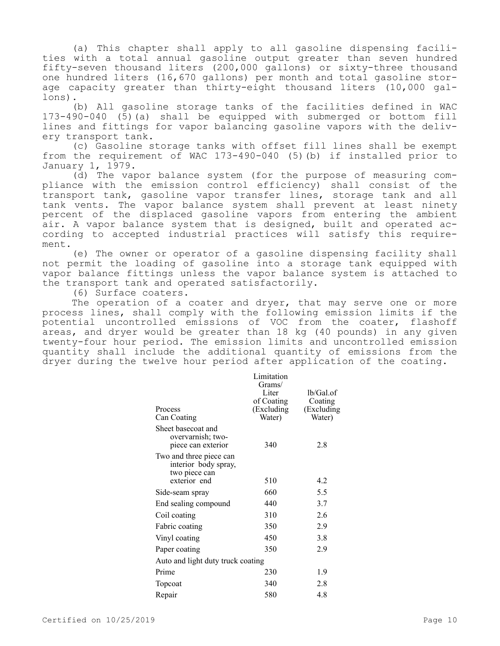(a) This chapter shall apply to all gasoline dispensing facilities with a total annual gasoline output greater than seven hundred fifty-seven thousand liters (200,000 gallons) or sixty-three thousand one hundred liters (16,670 gallons) per month and total gasoline storage capacity greater than thirty-eight thousand liters (10,000 gallons).

(b) All gasoline storage tanks of the facilities defined in WAC 173-490-040 (5)(a) shall be equipped with submerged or bottom fill lines and fittings for vapor balancing gasoline vapors with the delivery transport tank.

(c) Gasoline storage tanks with offset fill lines shall be exempt from the requirement of WAC 173-490-040 (5)(b) if installed prior to January 1, 1979.

(d) The vapor balance system (for the purpose of measuring compliance with the emission control efficiency) shall consist of the transport tank, gasoline vapor transfer lines, storage tank and all tank vents. The vapor balance system shall prevent at least ninety percent of the displaced gasoline vapors from entering the ambient air. A vapor balance system that is designed, built and operated according to accepted industrial practices will satisfy this requirement.

(e) The owner or operator of a gasoline dispensing facility shall not permit the loading of gasoline into a storage tank equipped with vapor balance fittings unless the vapor balance system is attached to the transport tank and operated satisfactorily.

(6) Surface coaters.

The operation of a coater and dryer, that may serve one or more process lines, shall comply with the following emission limits if the potential uncontrolled emissions of VOC from the coater, flashoff areas, and dryer would be greater than 18 kg (40 pounds) in any given twenty-four hour period. The emission limits and uncontrolled emission quantity shall include the additional quantity of emissions from the dryer during the twelve hour period after application of the coating.

| Process<br>Can Coating                                                           | Limitation<br>Grams/<br>Liter<br>of Coating<br>(Excluding<br>Water) | $lb/Gal.$ of<br>Coating<br>(Excluding)<br>Water) |
|----------------------------------------------------------------------------------|---------------------------------------------------------------------|--------------------------------------------------|
| Sheet basecoat and<br>overvarnish; two-<br>piece can exterior                    | 340                                                                 | 2.8                                              |
| Two and three piece can<br>interior body spray,<br>two piece can<br>exterior end | 510                                                                 | 4.2                                              |
| Side-seam spray                                                                  | 660                                                                 | 5.5                                              |
| End sealing compound                                                             | 440                                                                 | 3.7                                              |
| Coil coating                                                                     | 310                                                                 | 2.6                                              |
| Fabric coating                                                                   | 350                                                                 | 2.9                                              |
| Vinyl coating                                                                    | 450                                                                 | 3.8                                              |
| Paper coating                                                                    | 350                                                                 | 2.9                                              |
| Auto and light duty truck coating                                                |                                                                     |                                                  |
| Prime                                                                            | 230                                                                 | 1.9                                              |
| Topcoat                                                                          | 340                                                                 | 2.8                                              |
| Repair                                                                           | 580                                                                 | 4.8                                              |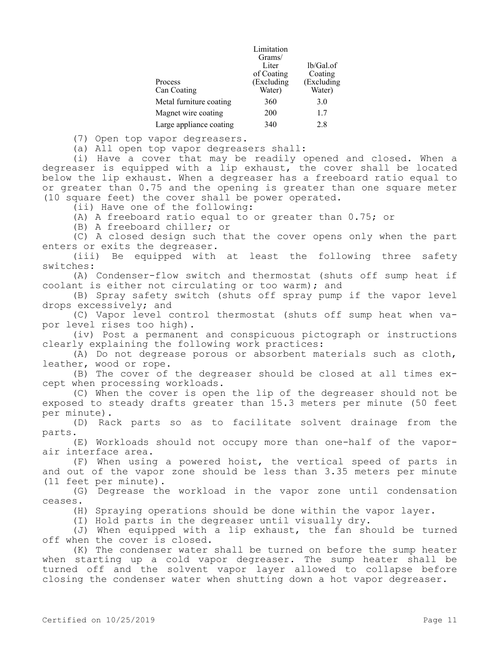|                         | Limitation |            |
|-------------------------|------------|------------|
|                         | Grams/     |            |
|                         | Liter      | lb/Gal.of  |
|                         | of Coating | Coating    |
| Process                 | (Excluding | (Excluding |
| Can Coating             | Water)     | Water)     |
| Metal furniture coating | 360        | 3.0        |
| Magnet wire coating     | 200        | 1.7        |
| Large appliance coating | 340        | 2.8        |

(7) Open top vapor degreasers.

(a) All open top vapor degreasers shall:

(i) Have a cover that may be readily opened and closed. When a degreaser is equipped with a lip exhaust, the cover shall be located below the lip exhaust. When a degreaser has a freeboard ratio equal to or greater than 0.75 and the opening is greater than one square meter (10 square feet) the cover shall be power operated.

(ii) Have one of the following:

(A) A freeboard ratio equal to or greater than 0.75; or

(B) A freeboard chiller; or

(C) A closed design such that the cover opens only when the part enters or exits the degreaser.

(iii) Be equipped with at least the following three safety switches:

(A) Condenser-flow switch and thermostat (shuts off sump heat if coolant is either not circulating or too warm); and

(B) Spray safety switch (shuts off spray pump if the vapor level drops excessively; and

(C) Vapor level control thermostat (shuts off sump heat when vapor level rises too high).

(iv) Post a permanent and conspicuous pictograph or instructions clearly explaining the following work practices:

(A) Do not degrease porous or absorbent materials such as cloth, leather, wood or rope.

(B) The cover of the degreaser should be closed at all times except when processing workloads.

(C) When the cover is open the lip of the degreaser should not be exposed to steady drafts greater than 15.3 meters per minute (50 feet per minute).

(D) Rack parts so as to facilitate solvent drainage from the parts.

(E) Workloads should not occupy more than one-half of the vaporair interface area.

(F) When using a powered hoist, the vertical speed of parts in and out of the vapor zone should be less than 3.35 meters per minute (11 feet per minute).

(G) Degrease the workload in the vapor zone until condensation ceases.

(H) Spraying operations should be done within the vapor layer.

(I) Hold parts in the degreaser until visually dry.

(J) When equipped with a lip exhaust, the fan should be turned off when the cover is closed.

(K) The condenser water shall be turned on before the sump heater when starting up a cold vapor degreaser. The sump heater shall be turned off and the solvent vapor layer allowed to collapse before closing the condenser water when shutting down a hot vapor degreaser.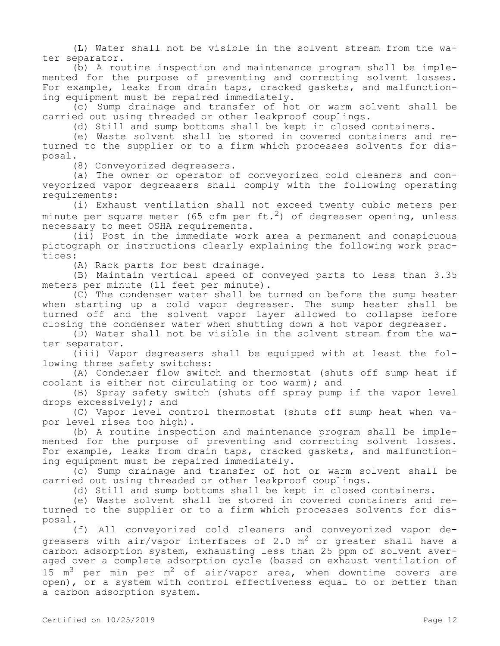(L) Water shall not be visible in the solvent stream from the water separator.

(b) A routine inspection and maintenance program shall be implemented for the purpose of preventing and correcting solvent losses. For example, leaks from drain taps, cracked gaskets, and malfunctioning equipment must be repaired immediately.

(c) Sump drainage and transfer of hot or warm solvent shall be carried out using threaded or other leakproof couplings.

(d) Still and sump bottoms shall be kept in closed containers.

(e) Waste solvent shall be stored in covered containers and returned to the supplier or to a firm which processes solvents for disposal.

(8) Conveyorized degreasers.

(a) The owner or operator of conveyorized cold cleaners and conveyorized vapor degreasers shall comply with the following operating requirements:

(i) Exhaust ventilation shall not exceed twenty cubic meters per minute per square meter (65 cfm per ft.<sup>2</sup>) of degreaser opening, unless necessary to meet OSHA requirements.

(ii) Post in the immediate work area a permanent and conspicuous pictograph or instructions clearly explaining the following work practices:

(A) Rack parts for best drainage.

(B) Maintain vertical speed of conveyed parts to less than 3.35 meters per minute (11 feet per minute).

(C) The condenser water shall be turned on before the sump heater when starting up a cold vapor degreaser. The sump heater shall be turned off and the solvent vapor layer allowed to collapse before closing the condenser water when shutting down a hot vapor degreaser.

(D) Water shall not be visible in the solvent stream from the water separator.

(iii) Vapor degreasers shall be equipped with at least the following three safety switches:

(A) Condenser flow switch and thermostat (shuts off sump heat if coolant is either not circulating or too warm); and

(B) Spray safety switch (shuts off spray pump if the vapor level drops excessively); and

(C) Vapor level control thermostat (shuts off sump heat when vapor level rises too high).

(b) A routine inspection and maintenance program shall be implemented for the purpose of preventing and correcting solvent losses. For example, leaks from drain taps, cracked gaskets, and malfunctioning equipment must be repaired immediately.

(c) Sump drainage and transfer of hot or warm solvent shall be carried out using threaded or other leakproof couplings.

(d) Still and sump bottoms shall be kept in closed containers.

(e) Waste solvent shall be stored in covered containers and returned to the supplier or to a firm which processes solvents for disposal.

(f) All conveyorized cold cleaners and conveyorized vapor degreasers with air/vapor interfaces of 2.0  $m^2$  or greater shall have a carbon adsorption system, exhausting less than 25 ppm of solvent averaged over a complete adsorption cycle (based on exhaust ventilation of 15  $m<sup>3</sup>$  per min per  $m<sup>2</sup>$  of air/vapor area, when downtime covers are open), or a system with control effectiveness equal to or better than a carbon adsorption system.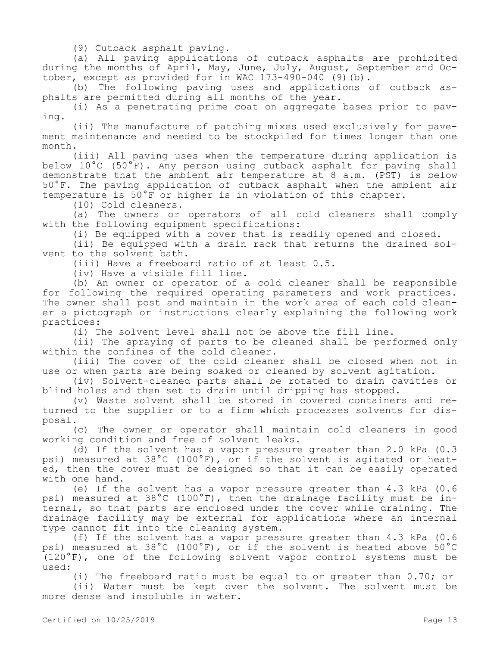(9) Cutback asphalt paving.

(a) All paving applications of cutback asphalts are prohibited during the months of April, May, June, July, August, September and October, except as provided for in WAC 173-490-040 (9)(b).

(b) The following paving uses and applications of cutback asphalts are permitted during all months of the year.

(i) As a penetrating prime coat on aggregate bases prior to paving.

(ii) The manufacture of patching mixes used exclusively for pavement maintenance and needed to be stockpiled for times longer than one month.

(iii) All paving uses when the temperature during application is below 10°C (50°F). Any person using cutback asphalt for paving shall demonstrate that the ambient air temperature at 8 a.m. (PST) is below 50°F. The paving application of cutback asphalt when the ambient air temperature is 50°F or higher is in violation of this chapter.

(10) Cold cleaners.

(a) The owners or operators of all cold cleaners shall comply with the following equipment specifications:

(i) Be equipped with a cover that is readily opened and closed.

(ii) Be equipped with a drain rack that returns the drained solvent to the solvent bath.

(iii) Have a freeboard ratio of at least 0.5.

(iv) Have a visible fill line.

(b) An owner or operator of a cold cleaner shall be responsible for following the required operating parameters and work practices. The owner shall post and maintain in the work area of each cold cleaner a pictograph or instructions clearly explaining the following work practices:

(i) The solvent level shall not be above the fill line.

(ii) The spraying of parts to be cleaned shall be performed only within the confines of the cold cleaner.

(iii) The cover of the cold cleaner shall be closed when not in use or when parts are being soaked or cleaned by solvent agitation.

(iv) Solvent-cleaned parts shall be rotated to drain cavities or blind holes and then set to drain until dripping has stopped.

(v) Waste solvent shall be stored in covered containers and returned to the supplier or to a firm which processes solvents for disposal.

(c) The owner or operator shall maintain cold cleaners in good working condition and free of solvent leaks.

(d) If the solvent has a vapor pressure greater than 2.0 kPa (0.3 psi) measured at 38°C (100°F), or if the solvent is agitated or heated, then the cover must be designed so that it can be easily operated with one hand.

(e) If the solvent has a vapor pressure greater than 4.3 kPa (0.6 psi) measured at 38°C (100°F), then the drainage facility must be internal, so that parts are enclosed under the cover while draining. The drainage facility may be external for applications where an internal type cannot fit into the cleaning system.

(f) If the solvent has a vapor pressure greater than 4.3 kPa (0.6 psi) measured at 38°C (100°F), or if the solvent is heated above 50°C (120°F), one of the following solvent vapor control systems must be used:

(i) The freeboard ratio must be equal to or greater than 0.70; or (ii) Water must be kept over the solvent. The solvent must be more dense and insoluble in water.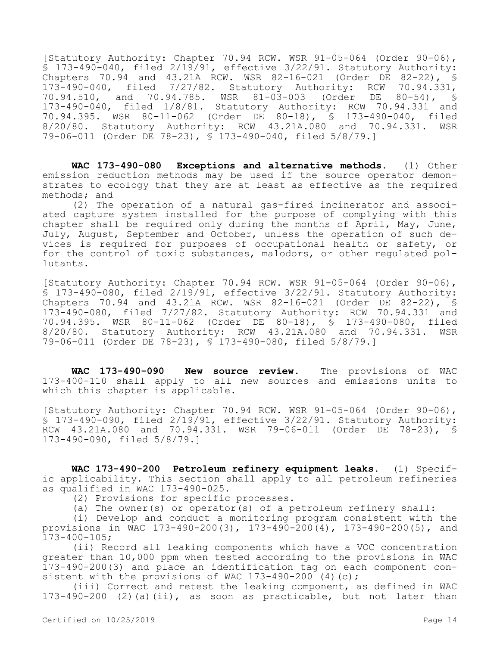[Statutory Authority: Chapter 70.94 RCW. WSR 91-05-064 (Order 90-06), § 173-490-040, filed 2/19/91, effective 3/22/91. Statutory Authority: Chapters 70.94 and 43.21A RCW. WSR 82-16-021 (Order DE 82-22), § 173-490-040, filed 7/27/82. Statutory Authority: RCW 70.94.331, 70.94.510, and 70.94.785. WSR 81-03-003 (Order DE 80-54), § 173-490-040, filed 1/8/81. Statutory Authority: RCW 70.94.331 and 70.94.395. WSR 80-11-062 (Order DE 80-18), § 173-490-040, filed 8/20/80. Statutory Authority: RCW 43.21A.080 and 70.94.331. WSR 79-06-011 (Order DE 78-23), § 173-490-040, filed 5/8/79.]

**WAC 173-490-080 Exceptions and alternative methods.** (1) Other emission reduction methods may be used if the source operator demonstrates to ecology that they are at least as effective as the required methods; and

(2) The operation of a natural gas-fired incinerator and associated capture system installed for the purpose of complying with this chapter shall be required only during the months of April, May, June, July, August, September and October, unless the operation of such devices is required for purposes of occupational health or safety, or for the control of toxic substances, malodors, or other regulated pollutants.

[Statutory Authority: Chapter 70.94 RCW. WSR 91-05-064 (Order 90-06),  $\overline{S}$  173-490-080, filed 2/19/91, effective 3/22/91. Statutory Authority: Chapters 70.94 and 43.21A RCW. WSR 82-16-021 (Order DE 82-22), § 173-490-080, filed 7/27/82. Statutory Authority: RCW 70.94.331 and 70.94.395. WSR 80-11-062 (Order DE 80-18), § 173-490-080, filed 8/20/80. Statutory Authority: RCW 43.21A.080 and 70.94.331. WSR 79-06-011 (Order DE 78-23), § 173-490-080, filed 5/8/79.]

**WAC 173-490-090 New source review.** The provisions of WAC 173-400-110 shall apply to all new sources and emissions units to which this chapter is applicable.

[Statutory Authority: Chapter 70.94 RCW. WSR 91-05-064 (Order 90-06), § 173-490-090, filed 2/19/91, effective 3/22/91. Statutory Authority: RCW 43.21A.080 and 70.94.331. WSR 79-06-011 (Order DE 78-23), § 173-490-090, filed 5/8/79.]

**WAC 173-490-200 Petroleum refinery equipment leaks.** (1) Specific applicability. This section shall apply to all petroleum refineries as qualified in WAC 173-490-025.

(2) Provisions for specific processes.

(a) The owner(s) or operator(s) of a petroleum refinery shall:

(i) Develop and conduct a monitoring program consistent with the provisions in WAC 173-490-200(3), 173-490-200(4), 173-490-200(5), and  $173 - 400 - 105$ ;

(ii) Record all leaking components which have a VOC concentration greater than 10,000 ppm when tested according to the provisions in WAC 173-490-200(3) and place an identification tag on each component consistent with the provisions of WAC 173-490-200 (4)(c);

(iii) Correct and retest the leaking component, as defined in WAC  $173-490-200$  (2)(a)(ii), as soon as practicable, but not later than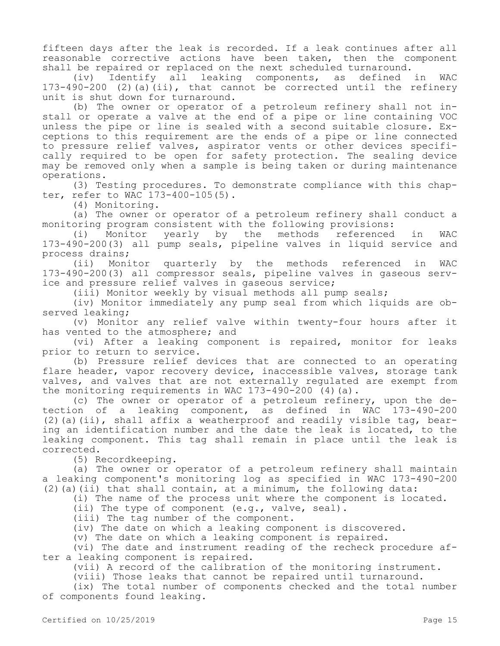fifteen days after the leak is recorded. If a leak continues after all reasonable corrective actions have been taken, then the component shall be repaired or replaced on the next scheduled turnaround.

(iv) Identify all leaking components, as defined in WAC  $173-490-200$  (2)(a)(ii), that cannot be corrected until the refinery unit is shut down for turnaround.

(b) The owner or operator of a petroleum refinery shall not install or operate a valve at the end of a pipe or line containing VOC unless the pipe or line is sealed with a second suitable closure. Exceptions to this requirement are the ends of a pipe or line connected to pressure relief valves, aspirator vents or other devices specifically required to be open for safety protection. The sealing device may be removed only when a sample is being taken or during maintenance operations.

(3) Testing procedures. To demonstrate compliance with this chapter, refer to WAC 173-400-105(5).

(4) Monitoring.

(a) The owner or operator of a petroleum refinery shall conduct a monitoring program consistent with the following provisions:

(i) Monitor yearly by the methods referenced in WAC 173-490-200(3) all pump seals, pipeline valves in liquid service and process drains;

(ii) Monitor quarterly by the methods referenced in WAC 173-490-200(3) all compressor seals, pipeline valves in gaseous service and pressure relief valves in gaseous service;

(iii) Monitor weekly by visual methods all pump seals;

(iv) Monitor immediately any pump seal from which liquids are observed leaking;

(v) Monitor any relief valve within twenty-four hours after it has vented to the atmosphere; and

(vi) After a leaking component is repaired, monitor for leaks prior to return to service.

(b) Pressure relief devices that are connected to an operating flare header, vapor recovery device, inaccessible valves, storage tank valves, and valves that are not externally regulated are exempt from the monitoring requirements in WAC  $173-490-200$  (4)(a).

(c) The owner or operator of a petroleum refinery, upon the detection of a leaking component, as defined in WAC 173-490-200  $(2)$  (a)(ii), shall affix a weatherproof and readily visible tag, bearing an identification number and the date the leak is located, to the leaking component. This tag shall remain in place until the leak is corrected.

(5) Recordkeeping.

(a) The owner or operator of a petroleum refinery shall maintain a leaking component's monitoring log as specified in WAC 173-490-200  $(2)$  (a)(ii) that shall contain, at a minimum, the following data:

(i) The name of the process unit where the component is located.

(ii) The type of component (e.g., valve, seal).

(iii) The tag number of the component.

(iv) The date on which a leaking component is discovered.

(v) The date on which a leaking component is repaired.

(vi) The date and instrument reading of the recheck procedure after a leaking component is repaired.

(vii) A record of the calibration of the monitoring instrument.

(viii) Those leaks that cannot be repaired until turnaround.

(ix) The total number of components checked and the total number of components found leaking.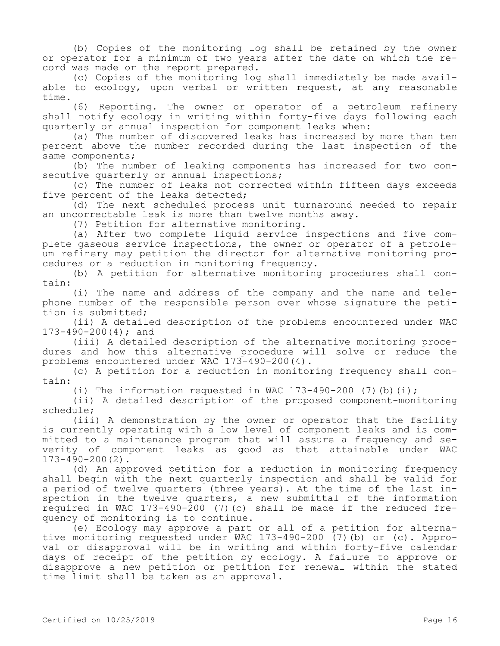(b) Copies of the monitoring log shall be retained by the owner or operator for a minimum of two years after the date on which the record was made or the report prepared.

(c) Copies of the monitoring log shall immediately be made available to ecology, upon verbal or written request, at any reasonable time.

(6) Reporting. The owner or operator of a petroleum refinery shall notify ecology in writing within forty-five days following each quarterly or annual inspection for component leaks when:

(a) The number of discovered leaks has increased by more than ten percent above the number recorded during the last inspection of the same components;

(b) The number of leaking components has increased for two consecutive quarterly or annual inspections;

(c) The number of leaks not corrected within fifteen days exceeds five percent of the leaks detected;

(d) The next scheduled process unit turnaround needed to repair an uncorrectable leak is more than twelve months away.

(7) Petition for alternative monitoring.

(a) After two complete liquid service inspections and five complete gaseous service inspections, the owner or operator of a petroleum refinery may petition the director for alternative monitoring procedures or a reduction in monitoring frequency.

(b) A petition for alternative monitoring procedures shall contain:

(i) The name and address of the company and the name and telephone number of the responsible person over whose signature the petition is submitted;

(ii) A detailed description of the problems encountered under WAC 173-490-200(4); and

(iii) A detailed description of the alternative monitoring procedures and how this alternative procedure will solve or reduce the problems encountered under WAC 173-490-200(4).

(c) A petition for a reduction in monitoring frequency shall contain:

(i) The information requested in WAC  $173-490-200$  (7)(b)(i);

(ii) A detailed description of the proposed component-monitoring schedule;

(iii) A demonstration by the owner or operator that the facility is currently operating with a low level of component leaks and is committed to a maintenance program that will assure a frequency and severity of component leaks as good as that attainable under WAC 173-490-200(2).

(d) An approved petition for a reduction in monitoring frequency shall begin with the next quarterly inspection and shall be valid for a period of twelve quarters (three years). At the time of the last inspection in the twelve quarters, a new submittal of the information required in WAC 173-490-200 (7)(c) shall be made if the reduced frequency of monitoring is to continue.

(e) Ecology may approve a part or all of a petition for alternative monitoring requested under WAC 173-490-200 (7)(b) or (c). Approval or disapproval will be in writing and within forty-five calendar days of receipt of the petition by ecology. A failure to approve or disapprove a new petition or petition for renewal within the stated time limit shall be taken as an approval.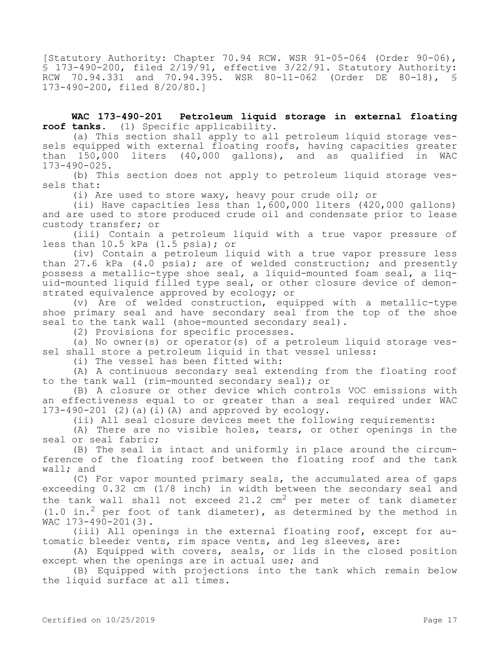[Statutory Authority: Chapter 70.94 RCW. WSR 91-05-064 (Order 90-06), § 173-490-200, filed 2/19/91, effective 3/22/91. Statutory Authority: RCW 70.94.331 and 70.94.395. WSR 80-11-062 (Order DE 80-18), § 173-490-200, filed 8/20/80.]

**WAC 173-490-201 Petroleum liquid storage in external floating roof tanks.** (1) Specific applicability.

(a) This section shall apply to all petroleum liquid storage vessels equipped with external floating roofs, having capacities greater than 150,000 liters (40,000 gallons), and as qualified in WAC 173-490-025.

(b) This section does not apply to petroleum liquid storage vessels that:

(i) Are used to store waxy, heavy pour crude oil; or

(ii) Have capacities less than 1,600,000 liters (420,000 gallons) and are used to store produced crude oil and condensate prior to lease custody transfer; or

(iii) Contain a petroleum liquid with a true vapor pressure of less than 10.5 kPa (1.5 psia); or

(iv) Contain a petroleum liquid with a true vapor pressure less than 27.6 kPa (4.0 psia); are of welded construction; and presently possess a metallic-type shoe seal, a liquid-mounted foam seal, a liquid-mounted liquid filled type seal, or other closure device of demonstrated equivalence approved by ecology; or

(v) Are of welded construction, equipped with a metallic-type shoe primary seal and have secondary seal from the top of the shoe seal to the tank wall (shoe-mounted secondary seal).

(2) Provisions for specific processes.

(a) No owner(s) or operator(s) of a petroleum liquid storage vessel shall store a petroleum liquid in that vessel unless:

(i) The vessel has been fitted with:

(A) A continuous secondary seal extending from the floating roof to the tank wall (rim-mounted secondary seal); or

(B) A closure or other device which controls VOC emissions with an effectiveness equal to or greater than a seal required under WAC  $173-490-201$  (2)(a)(i)(A) and approved by ecology.

(ii) All seal closure devices meet the following requirements:

(A) There are no visible holes, tears, or other openings in the seal or seal fabric;

(B) The seal is intact and uniformly in place around the circumference of the floating roof between the floating roof and the tank wall; and

(C) For vapor mounted primary seals, the accumulated area of gaps exceeding 0.32 cm (1/8 inch) in width between the secondary seal and the tank wall shall not exceed 21.2  $cm<sup>2</sup>$  per meter of tank diameter  $(1.0 \text{ in.}^2 \text{ per foot of tank diameter})$ , as determined by the method in WAC 173-490-201(3).

(iii) All openings in the external floating roof, except for automatic bleeder vents, rim space vents, and leg sleeves, are:

(A) Equipped with covers, seals, or lids in the closed position except when the openings are in actual use; and

(B) Equipped with projections into the tank which remain below the liquid surface at all times.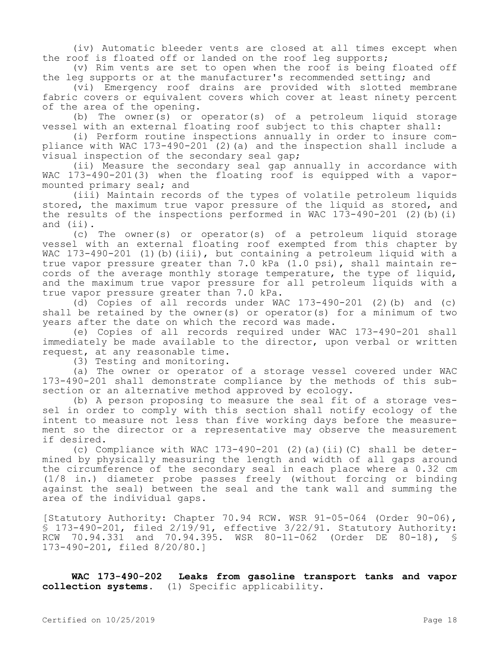(iv) Automatic bleeder vents are closed at all times except when the roof is floated off or landed on the roof leg supports;

(v) Rim vents are set to open when the roof is being floated off the leg supports or at the manufacturer's recommended setting; and

(vi) Emergency roof drains are provided with slotted membrane fabric covers or equivalent covers which cover at least ninety percent of the area of the opening.

(b) The owner(s) or operator(s) of a petroleum liquid storage vessel with an external floating roof subject to this chapter shall:

(i) Perform routine inspections annually in order to insure compliance with WAC  $173-490-201$  (2) (a) and the inspection shall include a visual inspection of the secondary seal gap;

(ii) Measure the secondary seal gap annually in accordance with WAC 173-490-201(3) when the floating roof is equipped with a vapormounted primary seal; and

(iii) Maintain records of the types of volatile petroleum liquids stored, the maximum true vapor pressure of the liquid as stored, and the results of the inspections performed in WAC  $173-490-201$  (2)(b)(i) and (ii).

(c) The owner(s) or operator(s) of a petroleum liquid storage vessel with an external floating roof exempted from this chapter by WAC 173-490-201 (1)(b)(iii), but containing a petroleum liquid with a true vapor pressure greater than 7.0 kPa (1.0 psi), shall maintain records of the average monthly storage temperature, the type of liquid, and the maximum true vapor pressure for all petroleum liquids with a true vapor pressure greater than 7.0 kPa.

(d) Copies of all records under WAC  $173-490-201$  (2)(b) and (c) shall be retained by the owner(s) or operator(s) for a minimum of two years after the date on which the record was made.

(e) Copies of all records required under WAC 173-490-201 shall immediately be made available to the director, upon verbal or written request, at any reasonable time.

(3) Testing and monitoring.

(a) The owner or operator of a storage vessel covered under WAC 173-490-201 shall demonstrate compliance by the methods of this subsection or an alternative method approved by ecology.

(b) A person proposing to measure the seal fit of a storage vessel in order to comply with this section shall notify ecology of the intent to measure not less than five working days before the measurement so the director or a representative may observe the measurement if desired.

(c) Compliance with WAC  $173-490-201$  (2)(a)(ii)(C) shall be determined by physically measuring the length and width of all gaps around the circumference of the secondary seal in each place where a 0.32 cm (1/8 in.) diameter probe passes freely (without forcing or binding against the seal) between the seal and the tank wall and summing the area of the individual gaps.

[Statutory Authority: Chapter 70.94 RCW. WSR 91-05-064 (Order 90-06), § 173-490-201, filed 2/19/91, effective 3/22/91. Statutory Authority: RCW 70.94.331 and 70.94.395. WSR 80-11-062 (Order DE 80-18), § 173-490-201, filed 8/20/80.]

**WAC 173-490-202 Leaks from gasoline transport tanks and vapor collection systems.** (1) Specific applicability.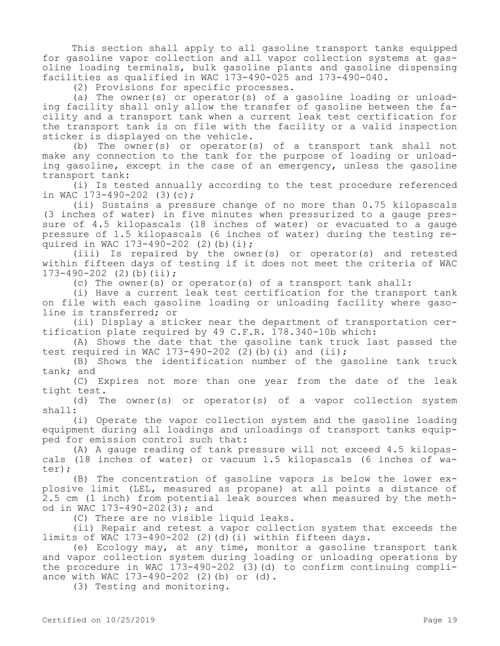This section shall apply to all gasoline transport tanks equipped for gasoline vapor collection and all vapor collection systems at gasoline loading terminals, bulk gasoline plants and gasoline dispensing facilities as qualified in WAC 173-490-025 and 173-490-040.

(2) Provisions for specific processes.

(a) The owner(s) or operator(s) of a gasoline loading or unloading facility shall only allow the transfer of gasoline between the facility and a transport tank when a current leak test certification for the transport tank is on file with the facility or a valid inspection sticker is displayed on the vehicle.

(b) The owner(s) or operator(s) of a transport tank shall not make any connection to the tank for the purpose of loading or unloading gasoline, except in the case of an emergency, unless the gasoline transport tank:

(i) Is tested annually according to the test procedure referenced in WAC 173-490-202 (3)(c);

(ii) Sustains a pressure change of no more than 0.75 kilopascals (3 inches of water) in five minutes when pressurized to a gauge pressure of 4.5 kilopascals (18 inches of water) or evacuated to a gauge pressure of 1.5 kilopascals (6 inches of water) during the testing required in WAC 173-490-202 (2)(b)(i);

(iii) Is repaired by the owner(s) or operator(s) and retested within fifteen days of testing if it does not meet the criteria of WAC 173-490-202 (2)(b)(ii);

(c) The owner(s) or operator(s) of a transport tank shall:

(i) Have a current leak test certification for the transport tank on file with each gasoline loading or unloading facility where gasoline is transferred; or

(ii) Display a sticker near the department of transportation certification plate required by 49 C.F.R. 178.340-10b which:

(A) Shows the date that the gasoline tank truck last passed the test required in WAC 173-490-202 (2)(b)(i) and  $(ii);$ 

(B) Shows the identification number of the gasoline tank truck tank; and

(C) Expires not more than one year from the date of the leak tight test.

(d) The owner(s) or operator(s) of a vapor collection system shall:

(i) Operate the vapor collection system and the gasoline loading equipment during all loadings and unloadings of transport tanks equipped for emission control such that:

(A) A gauge reading of tank pressure will not exceed 4.5 kilopascals (18 inches of water) or vacuum 1.5 kilopascals (6 inches of water);

(B) The concentration of gasoline vapors is below the lower explosive limit (LEL, measured as propane) at all points a distance of 2.5 cm (1 inch) from potential leak sources when measured by the method in WAC 173-490-202(3); and

(C) There are no visible liquid leaks.

(ii) Repair and retest a vapor collection system that exceeds the limits of WAC 173-490-202 (2)(d)(i) within fifteen days.

(e) Ecology may, at any time, monitor a gasoline transport tank and vapor collection system during loading or unloading operations by the procedure in WAC 173-490-202 (3)(d) to confirm continuing compliance with WAC 173-490-202 (2)(b) or (d).

(3) Testing and monitoring.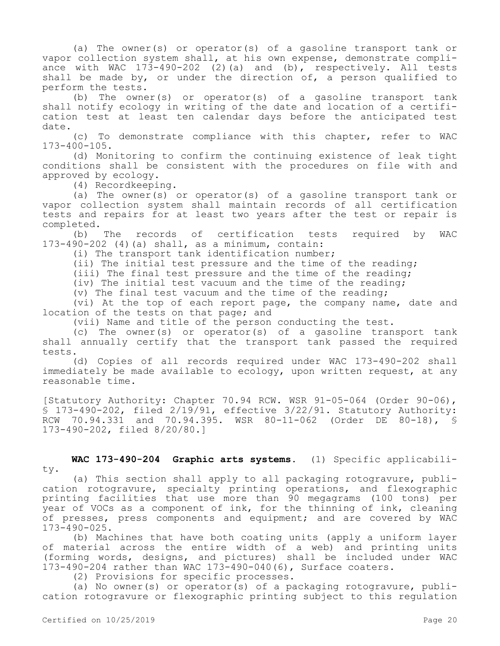(a) The owner(s) or operator(s) of a gasoline transport tank or vapor collection system shall, at his own expense, demonstrate compliance with WAC  $173-490-202$  (2)(a) and (b), respectively. All tests shall be made by, or under the direction of, a person qualified to perform the tests.

(b) The owner(s) or operator(s) of a gasoline transport tank shall notify ecology in writing of the date and location of a certification test at least ten calendar days before the anticipated test date.

(c) To demonstrate compliance with this chapter, refer to WAC 173-400-105.

(d) Monitoring to confirm the continuing existence of leak tight conditions shall be consistent with the procedures on file with and approved by ecology.

(4) Recordkeeping.

(a) The owner(s) or operator(s) of a gasoline transport tank or vapor collection system shall maintain records of all certification tests and repairs for at least two years after the test or repair is completed.

(b) The records of certification tests required by WAC 173-490-202 (4)(a) shall, as a minimum, contain:

(i) The transport tank identification number;

(ii) The initial test pressure and the time of the reading;

(iii) The final test pressure and the time of the reading;

(iv) The initial test vacuum and the time of the reading;

(v) The final test vacuum and the time of the reading;

(vi) At the top of each report page, the company name, date and location of the tests on that page; and

(vii) Name and title of the person conducting the test.

(c) The owner(s) or operator(s) of a gasoline transport tank shall annually certify that the transport tank passed the required tests.

(d) Copies of all records required under WAC 173-490-202 shall immediately be made available to ecology, upon written request, at any reasonable time.

[Statutory Authority: Chapter 70.94 RCW. WSR 91-05-064 (Order 90-06), § 173-490-202, filed 2/19/91, effective 3/22/91. Statutory Authority: RCW 70.94.331 and 70.94.395. WSR 80-11-062 (Order DE 80-18), § 173-490-202, filed 8/20/80.]

## **WAC 173-490-204 Graphic arts systems.** (1) Specific applicability.

(a) This section shall apply to all packaging rotogravure, publication rotogravure, specialty printing operations, and flexographic printing facilities that use more than 90 megagrams (100 tons) per year of VOCs as a component of ink, for the thinning of ink, cleaning of presses, press components and equipment; and are covered by WAC 173-490-025.

(b) Machines that have both coating units (apply a uniform layer of material across the entire width of a web) and printing units (forming words, designs, and pictures) shall be included under WAC 173-490-204 rather than WAC 173-490-040(6), Surface coaters.

(2) Provisions for specific processes.

(a) No owner(s) or operator(s) of a packaging rotogravure, publication rotogravure or flexographic printing subject to this regulation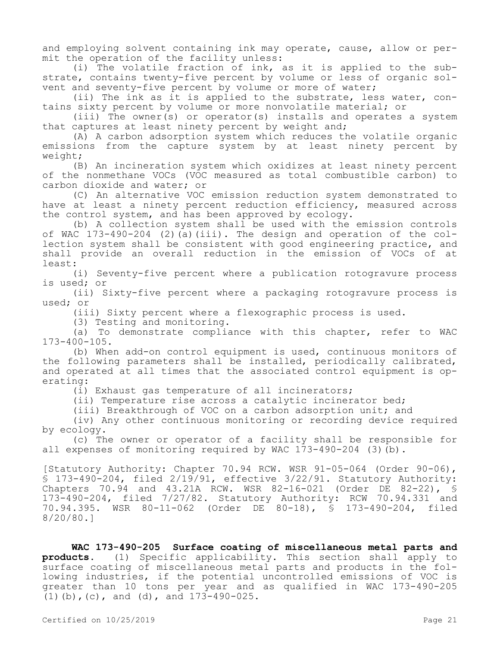and employing solvent containing ink may operate, cause, allow or permit the operation of the facility unless:

(i) The volatile fraction of ink, as it is applied to the substrate, contains twenty-five percent by volume or less of organic solvent and seventy-five percent by volume or more of water;

(ii) The ink as it is applied to the substrate, less water, contains sixty percent by volume or more nonvolatile material; or

(iii) The owner(s) or operator(s) installs and operates a system that captures at least ninety percent by weight and;

(A) A carbon adsorption system which reduces the volatile organic emissions from the capture system by at least ninety percent by weight;

(B) An incineration system which oxidizes at least ninety percent of the nonmethane VOCs (VOC measured as total combustible carbon) to carbon dioxide and water; or

(C) An alternative VOC emission reduction system demonstrated to have at least a ninety percent reduction efficiency, measured across the control system, and has been approved by ecology.

(b) A collection system shall be used with the emission controls of WAC  $173-490-204$  (2)(a)(iii). The design and operation of the collection system shall be consistent with good engineering practice, and shall provide an overall reduction in the emission of VOCs of at least:

(i) Seventy-five percent where a publication rotogravure process is used; or

(ii) Sixty-five percent where a packaging rotogravure process is used; or

(iii) Sixty percent where a flexographic process is used.

(3) Testing and monitoring.

(a) To demonstrate compliance with this chapter, refer to WAC 173-400-105.

(b) When add-on control equipment is used, continuous monitors of the following parameters shall be installed, periodically calibrated, and operated at all times that the associated control equipment is operating:

(i) Exhaust gas temperature of all incinerators;

(ii) Temperature rise across a catalytic incinerator bed;

(iii) Breakthrough of VOC on a carbon adsorption unit; and

(iv) Any other continuous monitoring or recording device required by ecology.

(c) The owner or operator of a facility shall be responsible for all expenses of monitoring required by WAC 173-490-204 (3)(b).

[Statutory Authority: Chapter 70.94 RCW. WSR 91-05-064 (Order 90-06), § 173-490-204, filed 2/19/91, effective 3/22/91. Statutory Authority: Chapters 70.94 and 43.21A RCW. WSR 82-16-021 (Order DE 82-22), § 173-490-204, filed 7/27/82. Statutory Authority: RCW 70.94.331 and 70.94.395. WSR 80-11-062 (Order DE 80-18), § 173-490-204, filed 8/20/80.]

**WAC 173-490-205 Surface coating of miscellaneous metal parts and products.** (1) Specific applicability. This section shall apply to surface coating of miscellaneous metal parts and products in the following industries, if the potential uncontrolled emissions of VOC is greater than 10 tons per year and as qualified in WAC 173-490-205 (1)(b),(c), and (d), and 173-490-025.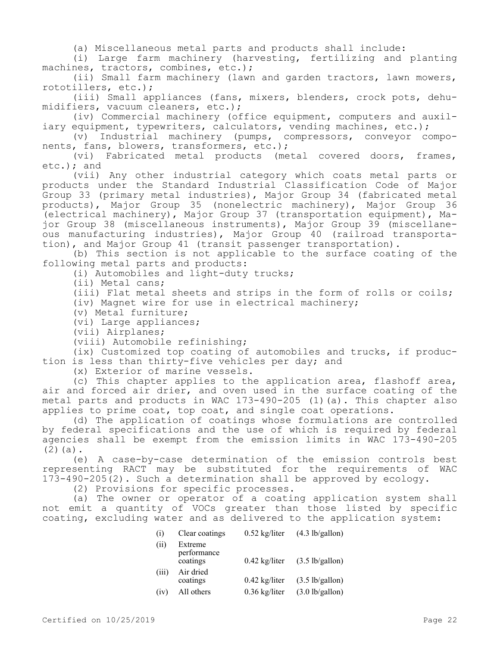(a) Miscellaneous metal parts and products shall include:

(i) Large farm machinery (harvesting, fertilizing and planting machines, tractors, combines, etc.);

(ii) Small farm machinery (lawn and garden tractors, lawn mowers, rototillers, etc.);

(iii) Small appliances (fans, mixers, blenders, crock pots, dehumidifiers, vacuum cleaners, etc.);

(iv) Commercial machinery (office equipment, computers and auxiliary equipment, typewriters, calculators, vending machines, etc.);

(v) Industrial machinery (pumps, compressors, conveyor components, fans, blowers, transformers, etc.);

(vi) Fabricated metal products (metal covered doors, frames, etc.); and

(vii) Any other industrial category which coats metal parts or products under the Standard Industrial Classification Code of Major Group 33 (primary metal industries), Major Group 34 (fabricated metal products), Major Group 35 (nonelectric machinery), Major Group 36 (electrical machinery), Major Group 37 (transportation equipment), Major Group 38 (miscellaneous instruments), Major Group 39 (miscellaneous manufacturing industries), Major Group 40 (railroad transportation), and Major Group 41 (transit passenger transportation).

(b) This section is not applicable to the surface coating of the following metal parts and products:

(i) Automobiles and light-duty trucks;

(ii) Metal cans;

(iii) Flat metal sheets and strips in the form of rolls or coils;

(iv) Magnet wire for use in electrical machinery;

(v) Metal furniture;

(vi) Large appliances;

(vii) Airplanes;

(viii) Automobile refinishing;

(ix) Customized top coating of automobiles and trucks, if production is less than thirty-five vehicles per day; and

(x) Exterior of marine vessels.

(c) This chapter applies to the application area, flashoff area, air and forced air drier, and oven used in the surface coating of the metal parts and products in WAC 173-490-205 (1)(a). This chapter also applies to prime coat, top coat, and single coat operations.

(d) The application of coatings whose formulations are controlled by federal specifications and the use of which is required by federal agencies shall be exempt from the emission limits in WAC 173-490-205 (2)(a).

(e) A case-by-case determination of the emission controls best representing RACT may be substituted for the requirements of WAC 173-490-205(2). Such a determination shall be approved by ecology.

(2) Provisions for specific processes.

(a) The owner or operator of a coating application system shall not emit a quantity of VOCs greater than those listed by specific coating, excluding water and as delivered to the application system:

| (i)   | Clear coatings                     | $0.52$ kg/liter         | $(4.3 \text{ lb/gallon})$ |
|-------|------------------------------------|-------------------------|---------------------------|
| (ii)  | Extreme<br>performance<br>coatings | $0.42$ kg/liter         | $(3.5 \text{ lb/gallon})$ |
| (iii) | Air dried<br>coatings              | $0.42 \text{ kg/liter}$ | $(3.5 \text{ lb/gallon})$ |
| (1V)  | All others                         | $0.36$ kg/liter         | $(3.0$ lb/gallon)         |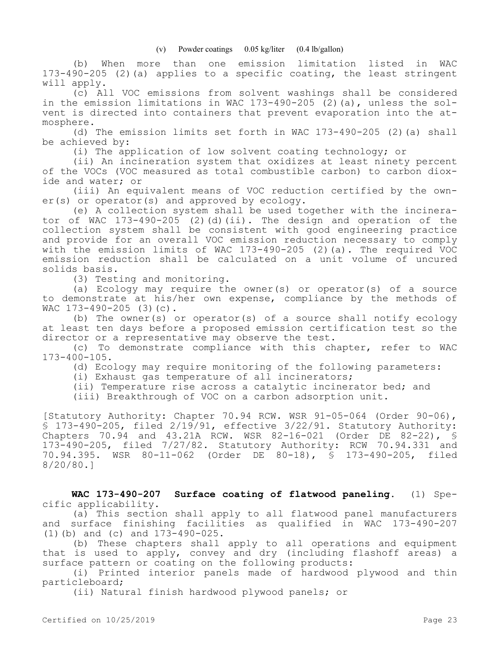(b) When more than one emission limitation listed in WAC 173-490-205 (2)(a) applies to a specific coating, the least stringent will apply.

(c) All VOC emissions from solvent washings shall be considered in the emission limitations in WAC 173-490-205 (2)(a), unless the solvent is directed into containers that prevent evaporation into the atmosphere.

(d) The emission limits set forth in WAC 173-490-205 (2)(a) shall be achieved by:

(i) The application of low solvent coating technology; or

(ii) An incineration system that oxidizes at least ninety percent of the VOCs (VOC measured as total combustible carbon) to carbon dioxide and water; or

(iii) An equivalent means of VOC reduction certified by the owner(s) or operator(s) and approved by ecology.

(e) A collection system shall be used together with the incinerator of WAC 173-490-205 (2)(d)(ii). The design and operation of the collection system shall be consistent with good engineering practice and provide for an overall VOC emission reduction necessary to comply with the emission limits of WAC 173-490-205 (2)(a). The required VOC emission reduction shall be calculated on a unit volume of uncured solids basis.

(3) Testing and monitoring.

(a) Ecology may require the owner(s) or operator(s) of a source to demonstrate at his/her own expense, compliance by the methods of WAC 173-490-205 (3)(c).

(b) The owner(s) or operator(s) of a source shall notify ecology at least ten days before a proposed emission certification test so the director or a representative may observe the test.

(c) To demonstrate compliance with this chapter, refer to WAC 173-400-105.

(d) Ecology may require monitoring of the following parameters:

(i) Exhaust gas temperature of all incinerators;

(ii) Temperature rise across a catalytic incinerator bed; and

(iii) Breakthrough of VOC on a carbon adsorption unit.

[Statutory Authority: Chapter 70.94 RCW. WSR 91-05-064 (Order 90-06), § 173-490-205, filed 2/19/91, effective 3/22/91. Statutory Authority: Chapters 70.94 and 43.21A RCW. WSR 82-16-021 (Order DE 82-22), § 173-490-205, filed 7/27/82. Statutory Authority: RCW 70.94.331 and 70.94.395. WSR 80-11-062 (Order DE 80-18), § 173-490-205, filed 8/20/80.]

**WAC 173-490-207 Surface coating of flatwood paneling.** (1) Specific applicability.

(a) This section shall apply to all flatwood panel manufacturers and surface finishing facilities as qualified in WAC 173-490-207 (1)(b) and (c) and 173-490-025.

(b) These chapters shall apply to all operations and equipment that is used to apply, convey and dry (including flashoff areas) a surface pattern or coating on the following products:

(i) Printed interior panels made of hardwood plywood and thin particleboard;

(ii) Natural finish hardwood plywood panels; or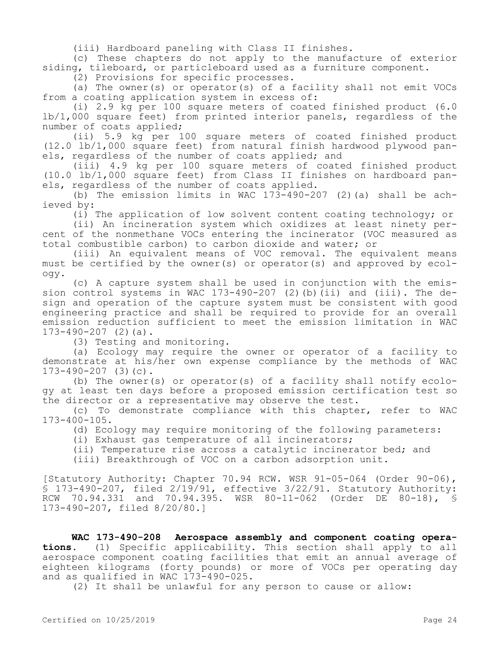(iii) Hardboard paneling with Class II finishes.

(c) These chapters do not apply to the manufacture of exterior siding, tileboard, or particleboard used as a furniture component.

(2) Provisions for specific processes.

(a) The owner(s) or operator(s) of a facility shall not emit VOCs from a coating application system in excess of:

(i) 2.9 kg per 100 square meters of coated finished product (6.0 lb/1,000 square feet) from printed interior panels, regardless of the number of coats applied;

(ii) 5.9 kg per 100 square meters of coated finished product (12.0 lb/1,000 square feet) from natural finish hardwood plywood panels, regardless of the number of coats applied; and

(iii) 4.9 kg per 100 square meters of coated finished product (10.0 lb/1,000 square feet) from Class II finishes on hardboard panels, regardless of the number of coats applied.

(b) The emission limits in WAC  $173-490-207$  (2)(a) shall be achieved by:

(i) The application of low solvent content coating technology; or

(ii) An incineration system which oxidizes at least ninety percent of the nonmethane VOCs entering the incinerator (VOC measured as total combustible carbon) to carbon dioxide and water; or

(iii) An equivalent means of VOC removal. The equivalent means must be certified by the owner(s) or operator(s) and approved by ecology.

(c) A capture system shall be used in conjunction with the emission control systems in WAC 173-490-207 (2)(b) $(ii)$  and (iii). The design and operation of the capture system must be consistent with good engineering practice and shall be required to provide for an overall emission reduction sufficient to meet the emission limitation in WAC  $173-490-207$  (2)(a).

(3) Testing and monitoring.

(a) Ecology may require the owner or operator of a facility to demonstrate at his/her own expense compliance by the methods of WAC 173-490-207 (3)(c).

(b) The owner(s) or operator(s) of a facility shall notify ecology at least ten days before a proposed emission certification test so the director or a representative may observe the test.

(c) To demonstrate compliance with this chapter, refer to WAC 173-400-105.

(d) Ecology may require monitoring of the following parameters:

(i) Exhaust gas temperature of all incinerators;

(ii) Temperature rise across a catalytic incinerator bed; and

(iii) Breakthrough of VOC on a carbon adsorption unit.

[Statutory Authority: Chapter 70.94 RCW. WSR 91-05-064 (Order 90-06), § 173-490-207, filed 2/19/91, effective 3/22/91. Statutory Authority: RCW 70.94.331 and 70.94.395. WSR 80-11-062 (Order DE 80-18), § 173-490-207, filed 8/20/80.]

**WAC 173-490-208 Aerospace assembly and component coating operations.** (1) Specific applicability. This section shall apply to all aerospace component coating facilities that emit an annual average of eighteen kilograms (forty pounds) or more of VOCs per operating day and as qualified in WAC 173-490-025.

(2) It shall be unlawful for any person to cause or allow: